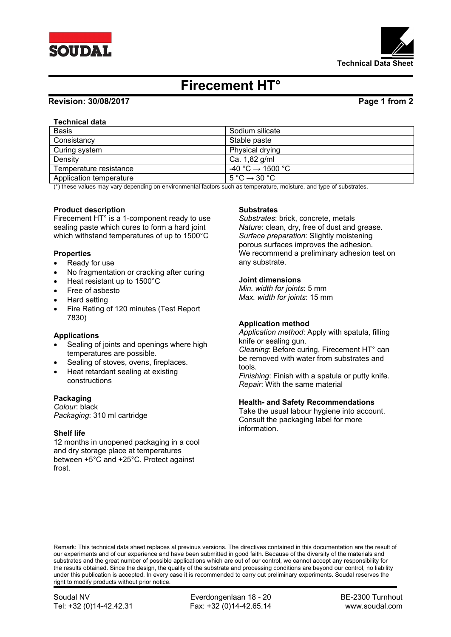



# **Firecement HT°**

# **Revision: 30/08/2017 Page 1 from 2**

## **Technical data**

| <b>Basis</b>            | Sodium silicate                             |
|-------------------------|---------------------------------------------|
| Consistancy             | Stable paste                                |
| Curing system           | Physical drying                             |
| Density                 | Ca. 1,82 g/ml                               |
| Temperature resistance  | $-40\degree C \rightarrow 1500\degree C$    |
| Application temperature | $5^{\circ}$ C $\rightarrow$ 30 $^{\circ}$ C |

(\*) these values may vary depending on environmental factors such as temperature, moisture, and type of substrates.

### **Product description**

Firecement HT° is a 1-component ready to use sealing paste which cures to form a hard joint which withstand temperatures of up to 1500°C

#### **Properties**

- Ready for use
- No fragmentation or cracking after curing
- Heat resistant up to 1500°C
- Free of asbesto
- Hard setting
- Fire Rating of 120 minutes (Test Report 7830)

### **Applications**

- Sealing of joints and openings where high temperatures are possible.
- Sealing of stoves, ovens, fireplaces.
- Heat retardant sealing at existing constructions

#### **Packaging**

*Colour*: black *Packaging*: 310 ml cartridge

#### **Shelf life**

12 months in unopened packaging in a cool and dry storage place at temperatures between +5°C and +25°C. Protect against frost.

#### **Substrates**

*Substrates*: brick, concrete, metals *Nature*: clean, dry, free of dust and grease. *Surface preparation*: Slightly moistening porous surfaces improves the adhesion. We recommend a preliminary adhesion test on any substrate.

#### **Joint dimensions**

*Min. width for joints*: 5 mm *Max. width for joints*: 15 mm

### **Application method**

*Application method*: Apply with spatula, filling knife or sealing gun. *Cleaning*: Before curing, Firecement HT° can be removed with water from substrates and tools.

*Finishing*: Finish with a spatula or putty knife. *Repair*: With the same material

#### **Health- and Safety Recommendations**

Take the usual labour hygiene into account. Consult the packaging label for more information.

Remark: This technical data sheet replaces al previous versions. The directives contained in this documentation are the result of our experiments and of our experience and have been submitted in good faith. Because of the diversity of the materials and substrates and the great number of possible applications which are out of our control, we cannot accept any responsibility for the results obtained. Since the design, the quality of the substrate and processing conditions are beyond our control, no liability under this publication is accepted. In every case it is recommended to carry out preliminary experiments. Soudal reserves the right to modify products without prior notice.

Soudal NV **Everdongenlaan 18 - 20** BE-2300 Turnhout